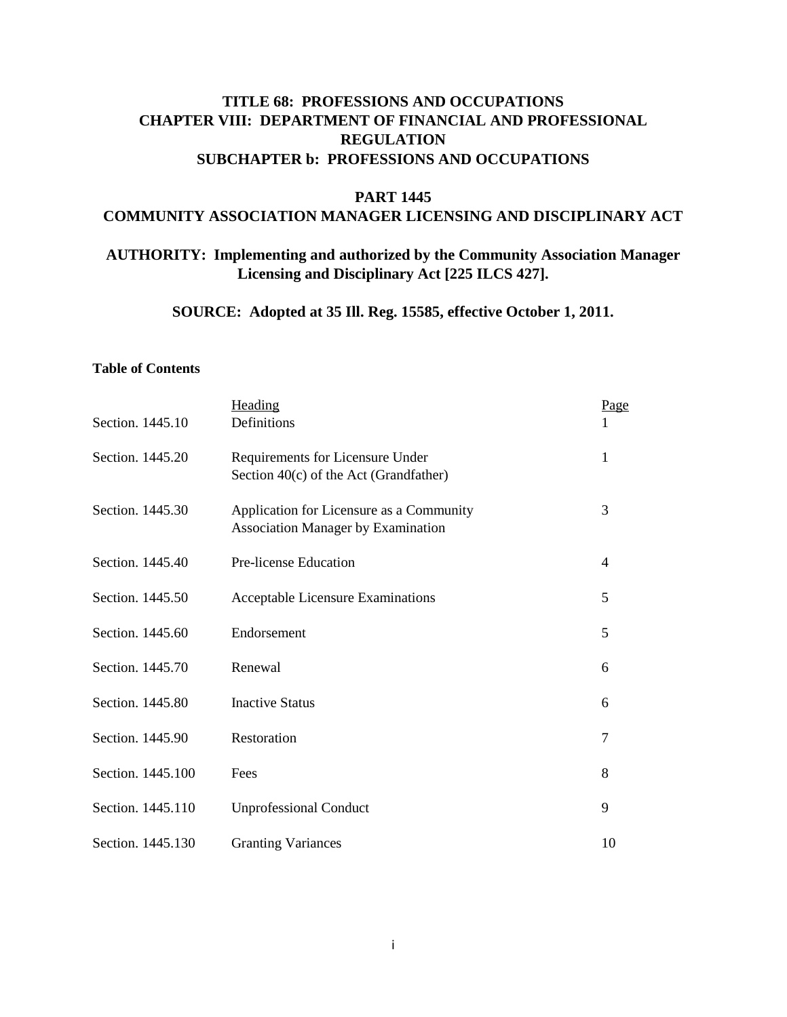# **TITLE 68: PROFESSIONS AND OCCUPATIONS CHAPTER VIII: DEPARTMENT OF FINANCIAL AND PROFESSIONAL REGULATION SUBCHAPTER b: PROFESSIONS AND OCCUPATIONS**

#### **PART 1445**

#### **COMMUNITY ASSOCIATION MANAGER LICENSING AND DISCIPLINARY ACT**

# **AUTHORITY: Implementing and authorized by the Community Association Manager Licensing and Disciplinary Act [225 ILCS 427].**

**SOURCE: Adopted at 35 Ill. Reg. 15585, effective October 1, 2011.**

#### **Table of Contents**

| Section. 1445.10  | Heading<br>Definitions                                                                | Page           |
|-------------------|---------------------------------------------------------------------------------------|----------------|
| Section. 1445.20  | Requirements for Licensure Under<br>Section 40(c) of the Act (Grandfather)            | 1              |
| Section. 1445.30  | Application for Licensure as a Community<br><b>Association Manager by Examination</b> | 3              |
| Section. 1445.40  | Pre-license Education                                                                 | $\overline{4}$ |
| Section. 1445.50  | Acceptable Licensure Examinations                                                     | 5              |
| Section. 1445.60  | Endorsement                                                                           | 5              |
| Section. 1445.70  | Renewal                                                                               | 6              |
| Section. 1445.80  | <b>Inactive Status</b>                                                                | 6              |
| Section. 1445.90  | Restoration                                                                           | $\overline{7}$ |
| Section. 1445.100 | Fees                                                                                  | 8              |
| Section. 1445.110 | <b>Unprofessional Conduct</b>                                                         | 9              |
| Section. 1445.130 | <b>Granting Variances</b>                                                             | 10             |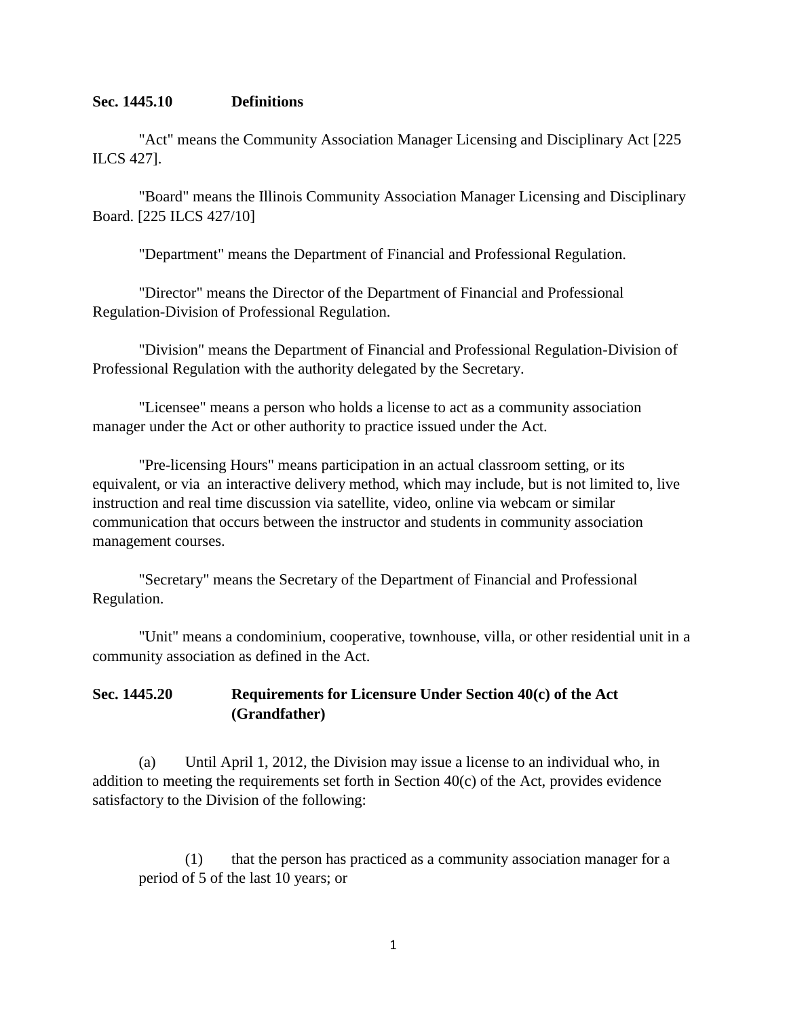#### **Sec. 1445.10 Definitions**

"Act" means the Community Association Manager Licensing and Disciplinary Act [225 ILCS 427].

"Board" means the Illinois Community Association Manager Licensing and Disciplinary Board. [225 ILCS 427/10]

"Department" means the Department of Financial and Professional Regulation.

"Director" means the Director of the Department of Financial and Professional Regulation-Division of Professional Regulation.

"Division" means the Department of Financial and Professional Regulation-Division of Professional Regulation with the authority delegated by the Secretary.

"Licensee" means a person who holds a license to act as a community association manager under the Act or other authority to practice issued under the Act.

"Pre-licensing Hours" means participation in an actual classroom setting, or its equivalent, or via an interactive delivery method, which may include, but is not limited to, live instruction and real time discussion via satellite, video, online via webcam or similar communication that occurs between the instructor and students in community association management courses.

"Secretary" means the Secretary of the Department of Financial and Professional Regulation.

"Unit" means a condominium, cooperative, townhouse, villa, or other residential unit in a community association as defined in the Act.

## **Sec. 1445.20 Requirements for Licensure Under Section 40(c) of the Act (Grandfather)**

(a) Until April 1, 2012, the Division may issue a license to an individual who, in addition to meeting the requirements set forth in Section  $40(c)$  of the Act, provides evidence satisfactory to the Division of the following:

(1) that the person has practiced as a community association manager for a period of 5 of the last 10 years; or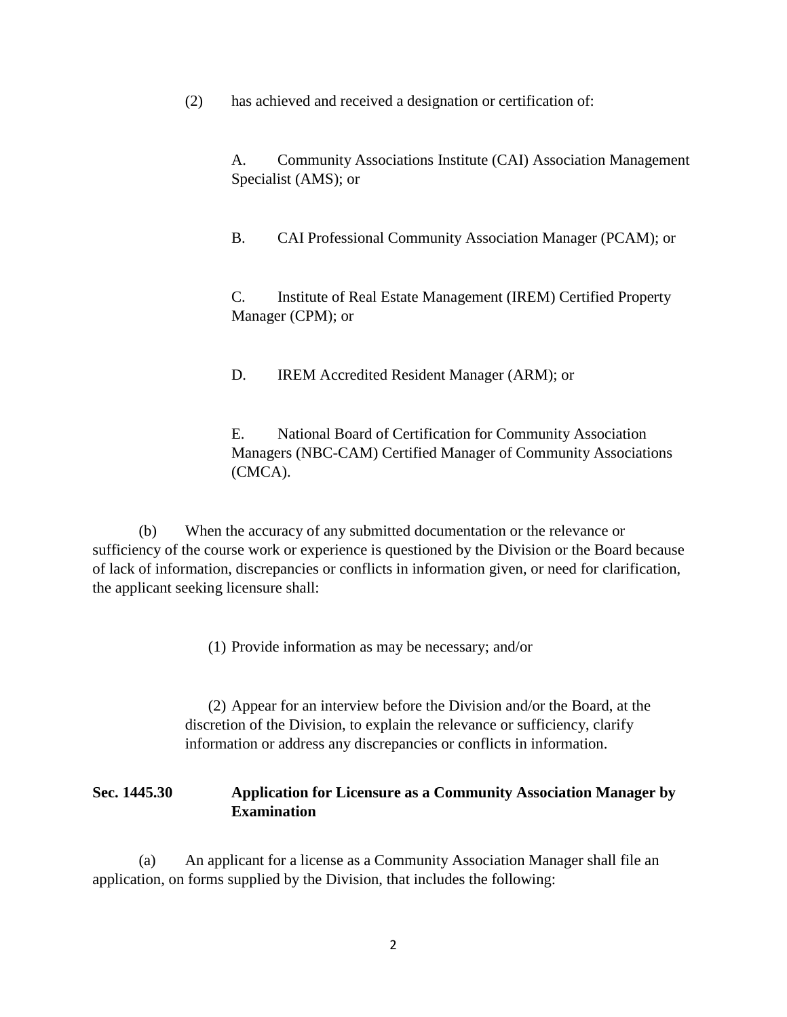(2) has achieved and received a designation or certification of:

A. Community Associations Institute (CAI) Association Management Specialist (AMS); or

B. CAI Professional Community Association Manager (PCAM); or

C. Institute of Real Estate Management (IREM) Certified Property Manager (CPM); or

D. IREM Accredited Resident Manager (ARM); or

E. National Board of Certification for Community Association Managers (NBC-CAM) Certified Manager of Community Associations (CMCA).

(b) When the accuracy of any submitted documentation or the relevance or sufficiency of the course work or experience is questioned by the Division or the Board because of lack of information, discrepancies or conflicts in information given, or need for clarification, the applicant seeking licensure shall:

(1) Provide information as may be necessary; and/or

(2) Appear for an interview before the Division and/or the Board, at the discretion of the Division, to explain the relevance or sufficiency, clarify information or address any discrepancies or conflicts in information.

## **Sec. 1445.30 Application for Licensure as a Community Association Manager by Examination**

(a) An applicant for a license as a Community Association Manager shall file an application, on forms supplied by the Division, that includes the following: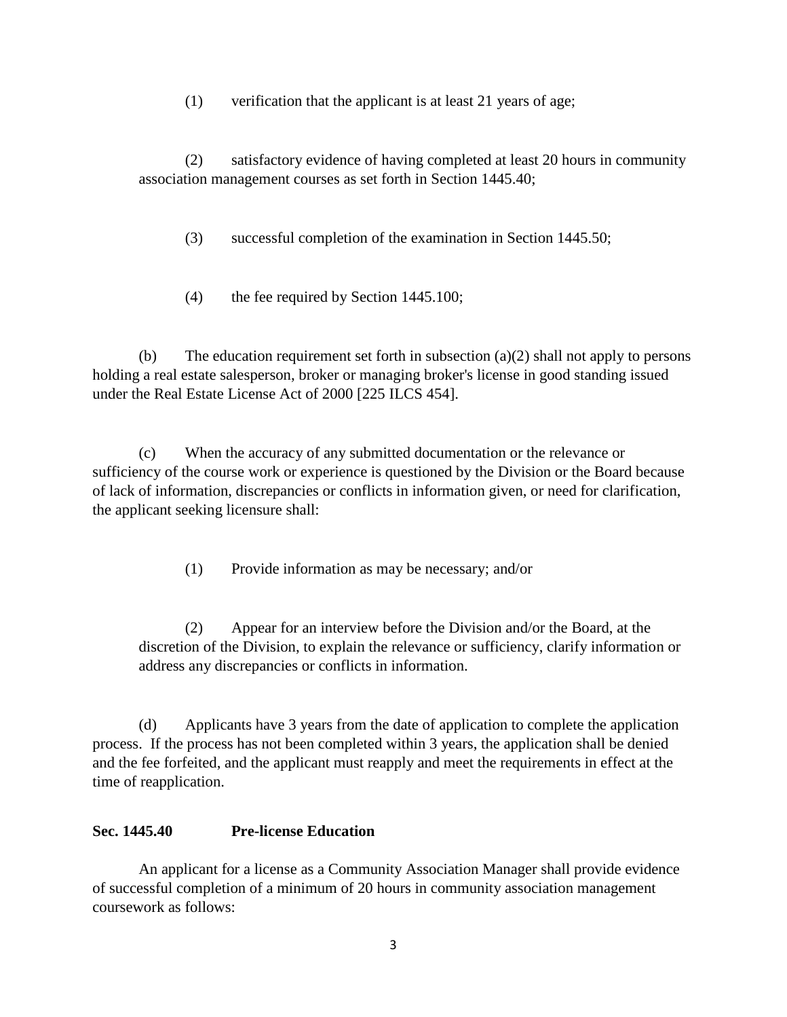(1) verification that the applicant is at least 21 years of age;

(2) satisfactory evidence of having completed at least 20 hours in community association management courses as set forth in Section 1445.40;

(3) successful completion of the examination in Section 1445.50;

(4) the fee required by Section 1445.100;

(b) The education requirement set forth in subsection (a)(2) shall not apply to persons holding a real estate salesperson, broker or managing broker's license in good standing issued under the Real Estate License Act of 2000 [225 ILCS 454].

(c) When the accuracy of any submitted documentation or the relevance or sufficiency of the course work or experience is questioned by the Division or the Board because of lack of information, discrepancies or conflicts in information given, or need for clarification, the applicant seeking licensure shall:

(1) Provide information as may be necessary; and/or

(2) Appear for an interview before the Division and/or the Board, at the discretion of the Division, to explain the relevance or sufficiency, clarify information or address any discrepancies or conflicts in information.

(d) Applicants have 3 years from the date of application to complete the application process. If the process has not been completed within 3 years, the application shall be denied and the fee forfeited, and the applicant must reapply and meet the requirements in effect at the time of reapplication.

## **Sec. 1445.40 Pre-license Education**

An applicant for a license as a Community Association Manager shall provide evidence of successful completion of a minimum of 20 hours in community association management coursework as follows: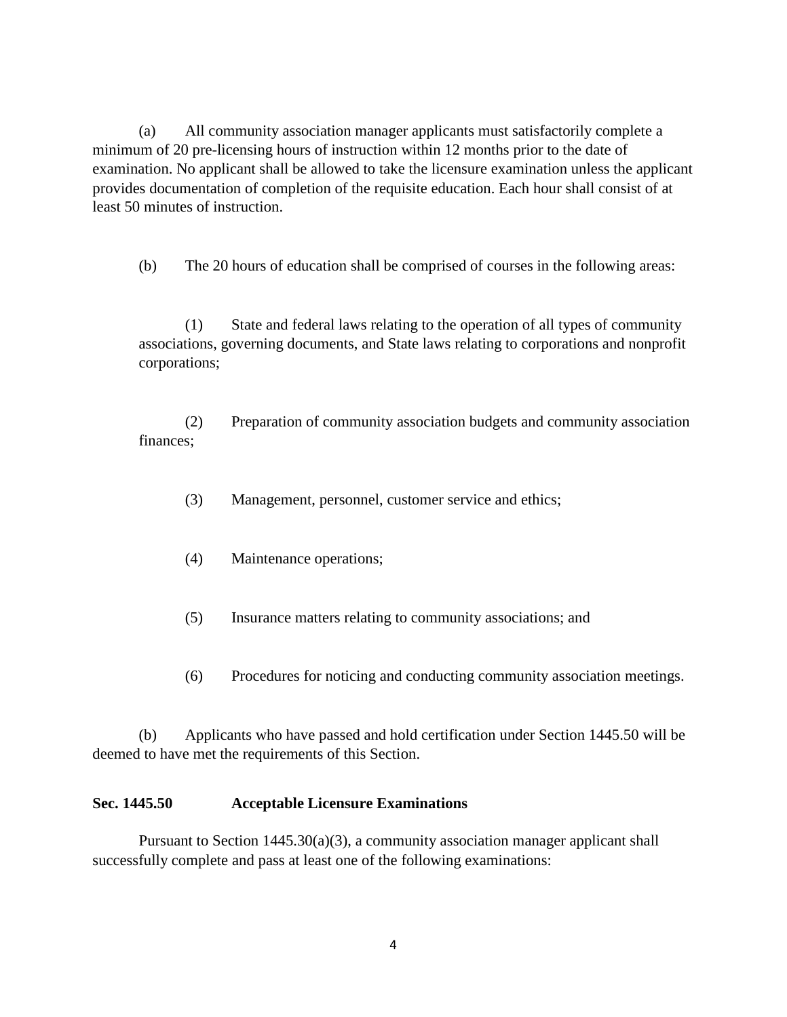(a) All community association manager applicants must satisfactorily complete a minimum of 20 pre-licensing hours of instruction within 12 months prior to the date of examination. No applicant shall be allowed to take the licensure examination unless the applicant provides documentation of completion of the requisite education. Each hour shall consist of at least 50 minutes of instruction.

(b) The 20 hours of education shall be comprised of courses in the following areas:

(1) State and federal laws relating to the operation of all types of community associations, governing documents, and State laws relating to corporations and nonprofit corporations;

(2) Preparation of community association budgets and community association finances;

- (3) Management, personnel, customer service and ethics;
- (4) Maintenance operations;
- (5) Insurance matters relating to community associations; and
- (6) Procedures for noticing and conducting community association meetings.

(b) Applicants who have passed and hold certification under Section 1445.50 will be deemed to have met the requirements of this Section.

### **Sec. 1445.50 Acceptable Licensure Examinations**

Pursuant to Section  $1445.30(a)(3)$ , a community association manager applicant shall successfully complete and pass at least one of the following examinations: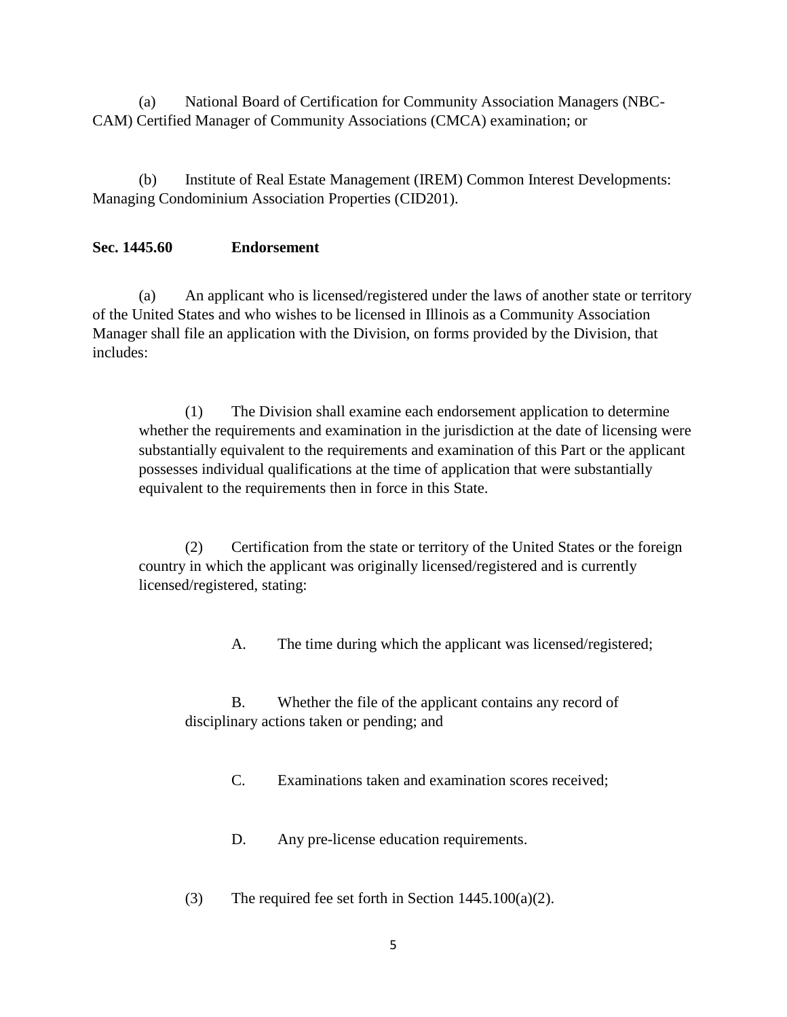(a) National Board of Certification for Community Association Managers (NBC-CAM) Certified Manager of Community Associations (CMCA) examination; or

(b) Institute of Real Estate Management (IREM) Common Interest Developments: Managing Condominium Association Properties (CID201).

### **Sec. 1445.60 Endorsement**

(a) An applicant who is licensed/registered under the laws of another state or territory of the United States and who wishes to be licensed in Illinois as a Community Association Manager shall file an application with the Division, on forms provided by the Division, that includes:

(1) The Division shall examine each endorsement application to determine whether the requirements and examination in the jurisdiction at the date of licensing were substantially equivalent to the requirements and examination of this Part or the applicant possesses individual qualifications at the time of application that were substantially equivalent to the requirements then in force in this State.

(2) Certification from the state or territory of the United States or the foreign country in which the applicant was originally licensed/registered and is currently licensed/registered, stating:

A. The time during which the applicant was licensed/registered;

B. Whether the file of the applicant contains any record of disciplinary actions taken or pending; and

C. Examinations taken and examination scores received;

D. Any pre-license education requirements.

(3) The required fee set forth in Section 1445.100(a)(2).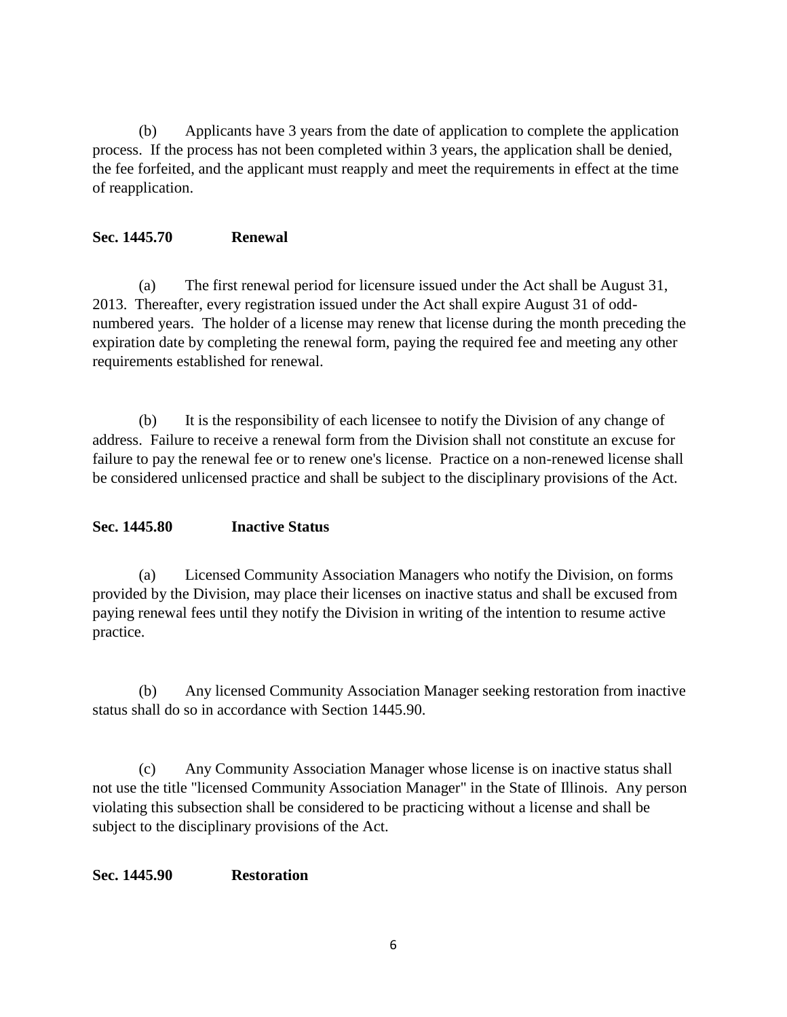(b) Applicants have 3 years from the date of application to complete the application process. If the process has not been completed within 3 years, the application shall be denied, the fee forfeited, and the applicant must reapply and meet the requirements in effect at the time of reapplication.

## **Sec. 1445.70 Renewal**

(a) The first renewal period for licensure issued under the Act shall be August 31, 2013. Thereafter, every registration issued under the Act shall expire August 31 of oddnumbered years. The holder of a license may renew that license during the month preceding the expiration date by completing the renewal form, paying the required fee and meeting any other requirements established for renewal.

(b) It is the responsibility of each licensee to notify the Division of any change of address. Failure to receive a renewal form from the Division shall not constitute an excuse for failure to pay the renewal fee or to renew one's license. Practice on a non-renewed license shall be considered unlicensed practice and shall be subject to the disciplinary provisions of the Act.

## **Sec. 1445.80 Inactive Status**

(a) Licensed Community Association Managers who notify the Division, on forms provided by the Division, may place their licenses on inactive status and shall be excused from paying renewal fees until they notify the Division in writing of the intention to resume active practice.

(b) Any licensed Community Association Manager seeking restoration from inactive status shall do so in accordance with Section 1445.90.

(c) Any Community Association Manager whose license is on inactive status shall not use the title "licensed Community Association Manager" in the State of Illinois. Any person violating this subsection shall be considered to be practicing without a license and shall be subject to the disciplinary provisions of the Act.

### **Sec. 1445.90 Restoration**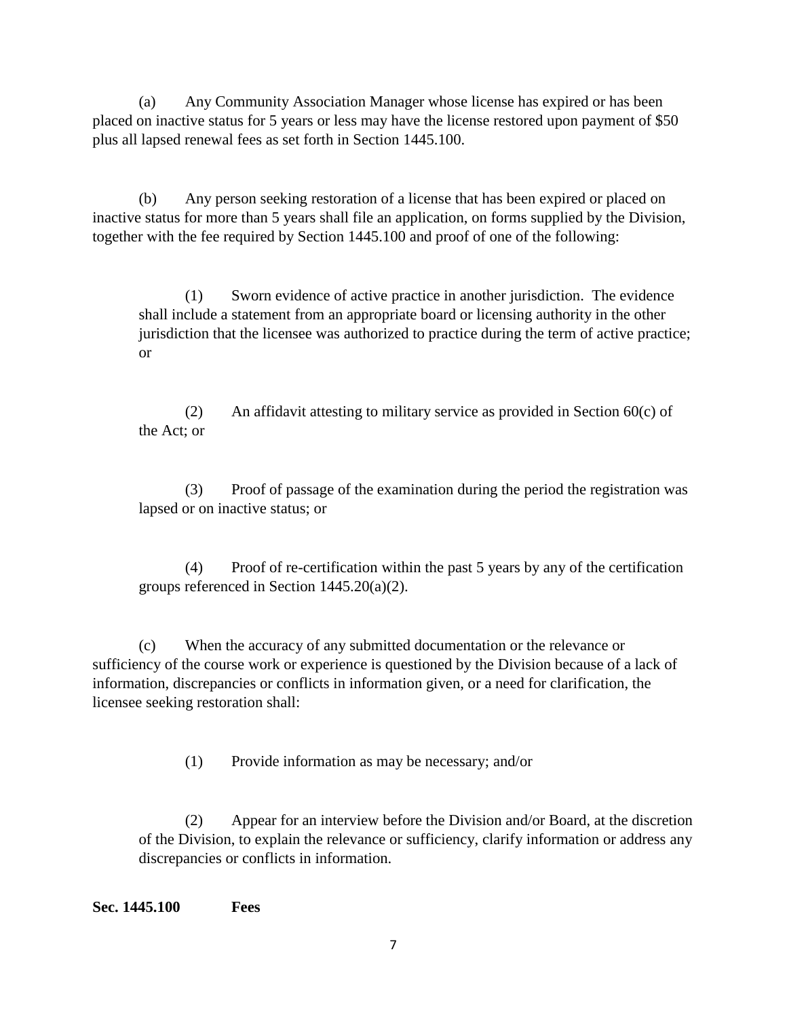(a) Any Community Association Manager whose license has expired or has been placed on inactive status for 5 years or less may have the license restored upon payment of \$50 plus all lapsed renewal fees as set forth in Section 1445.100.

(b) Any person seeking restoration of a license that has been expired or placed on inactive status for more than 5 years shall file an application, on forms supplied by the Division, together with the fee required by Section 1445.100 and proof of one of the following:

(1) Sworn evidence of active practice in another jurisdiction. The evidence shall include a statement from an appropriate board or licensing authority in the other jurisdiction that the licensee was authorized to practice during the term of active practice; or

(2) An affidavit attesting to military service as provided in Section  $60(c)$  of the Act; or

(3) Proof of passage of the examination during the period the registration was lapsed or on inactive status; or

(4) Proof of re-certification within the past 5 years by any of the certification groups referenced in Section 1445.20(a)(2).

(c) When the accuracy of any submitted documentation or the relevance or sufficiency of the course work or experience is questioned by the Division because of a lack of information, discrepancies or conflicts in information given, or a need for clarification, the licensee seeking restoration shall:

(1) Provide information as may be necessary; and/or

(2) Appear for an interview before the Division and/or Board, at the discretion of the Division, to explain the relevance or sufficiency, clarify information or address any discrepancies or conflicts in information.

**Sec. 1445.100 Fees**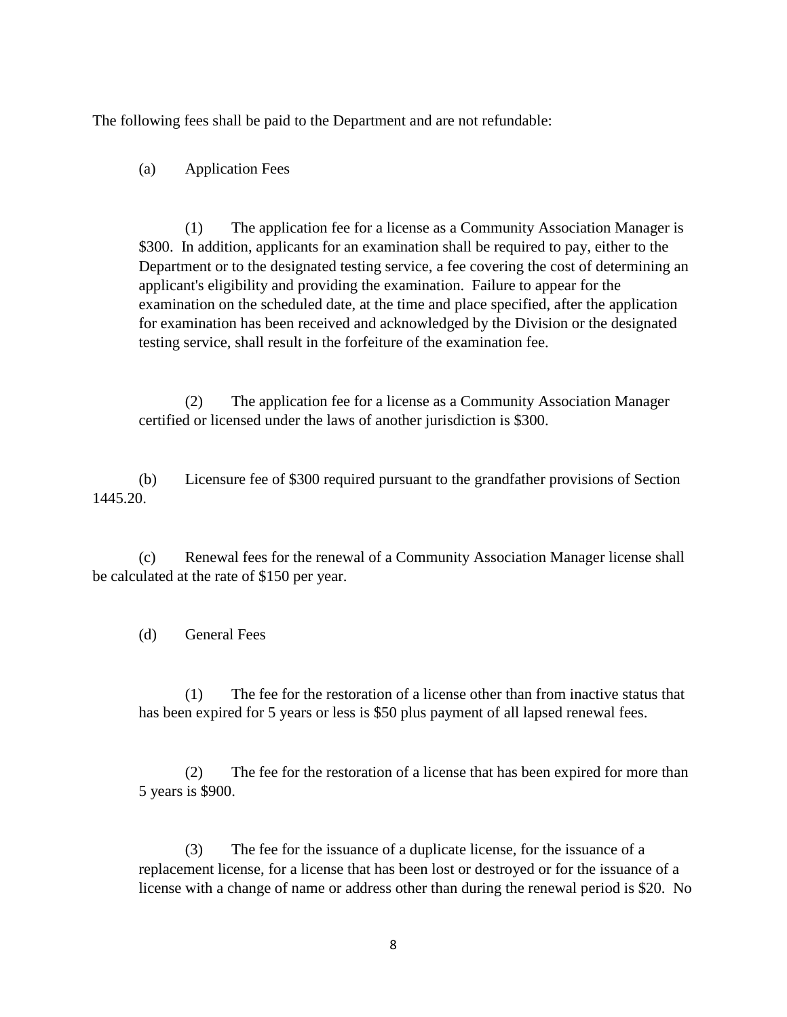The following fees shall be paid to the Department and are not refundable:

(a) Application Fees

(1) The application fee for a license as a Community Association Manager is \$300. In addition, applicants for an examination shall be required to pay, either to the Department or to the designated testing service, a fee covering the cost of determining an applicant's eligibility and providing the examination. Failure to appear for the examination on the scheduled date, at the time and place specified, after the application for examination has been received and acknowledged by the Division or the designated testing service, shall result in the forfeiture of the examination fee.

(2) The application fee for a license as a Community Association Manager certified or licensed under the laws of another jurisdiction is \$300.

(b) Licensure fee of \$300 required pursuant to the grandfather provisions of Section 1445.20.

(c) Renewal fees for the renewal of a Community Association Manager license shall be calculated at the rate of \$150 per year.

(d) General Fees

(1) The fee for the restoration of a license other than from inactive status that has been expired for 5 years or less is \$50 plus payment of all lapsed renewal fees.

(2) The fee for the restoration of a license that has been expired for more than 5 years is \$900.

(3) The fee for the issuance of a duplicate license, for the issuance of a replacement license, for a license that has been lost or destroyed or for the issuance of a license with a change of name or address other than during the renewal period is \$20. No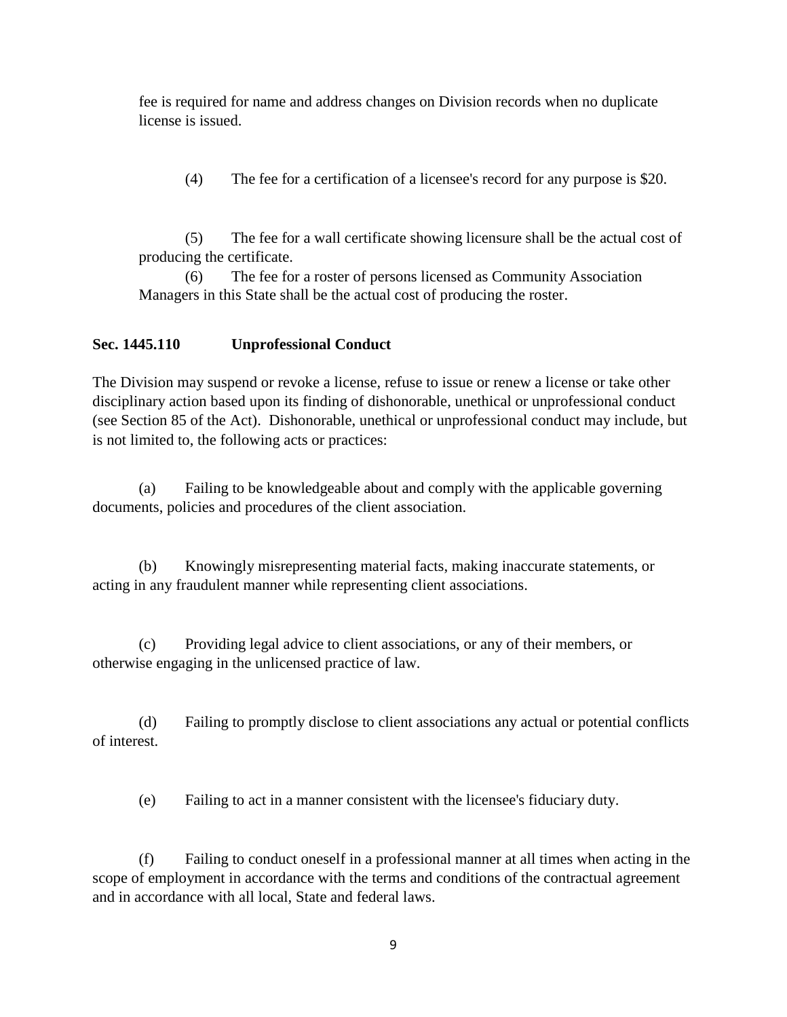fee is required for name and address changes on Division records when no duplicate license is issued.

(4) The fee for a certification of a licensee's record for any purpose is \$20.

(5) The fee for a wall certificate showing licensure shall be the actual cost of producing the certificate.

(6) The fee for a roster of persons licensed as Community Association Managers in this State shall be the actual cost of producing the roster.

## **Sec. 1445.110 Unprofessional Conduct**

The Division may suspend or revoke a license, refuse to issue or renew a license or take other disciplinary action based upon its finding of dishonorable, unethical or unprofessional conduct (see Section 85 of the Act). Dishonorable, unethical or unprofessional conduct may include, but is not limited to, the following acts or practices:

(a) Failing to be knowledgeable about and comply with the applicable governing documents, policies and procedures of the client association.

(b) Knowingly misrepresenting material facts, making inaccurate statements, or acting in any fraudulent manner while representing client associations.

(c) Providing legal advice to client associations, or any of their members, or otherwise engaging in the unlicensed practice of law.

(d) Failing to promptly disclose to client associations any actual or potential conflicts of interest.

(e) Failing to act in a manner consistent with the licensee's fiduciary duty.

(f) Failing to conduct oneself in a professional manner at all times when acting in the scope of employment in accordance with the terms and conditions of the contractual agreement and in accordance with all local, State and federal laws.

9